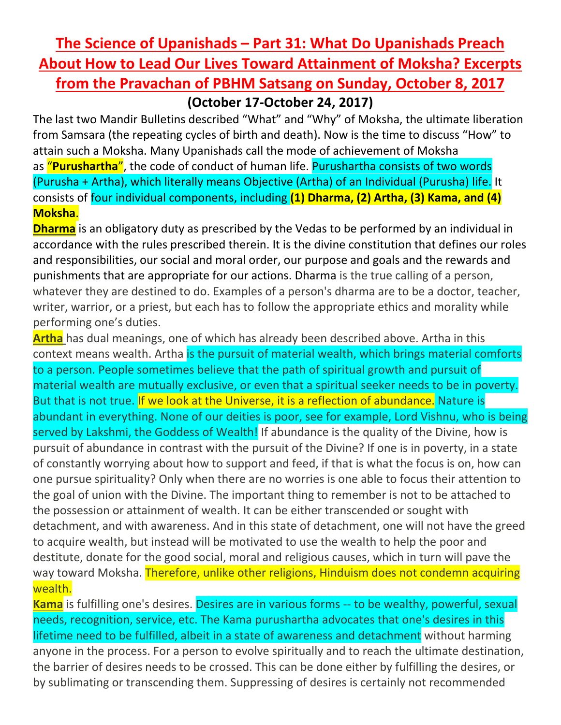## **The Science of Upanishads – Part 31: What Do Upanishads Preach About How to Lead Our Lives Toward Attainment of Moksha? Excerpts from the Pravachan of PBHM Satsang on Sunday, October 8, 2017 (October 17-October 24, 2017)**

The last two Mandir Bulletins described "What" and "Why" of Moksha, the ultimate liberation from Samsara (the repeating cycles of birth and death). Now is the time to discuss "How" to attain such a Moksha. Many Upanishads call the mode of achievement of Moksha as "**Purushartha**", the code of conduct of human life. Purushartha consists of two words (Purusha + Artha), which literally means Objective (Artha) of an Individual (Purusha) life. It consists of four individual components, including **(1) Dharma, (2) Artha, (3) Kama, and (4) Moksha**.

**Dharma** is an obligatory duty as prescribed by the Vedas to be performed by an individual in accordance with the rules prescribed therein. It is the divine constitution that defines our roles and responsibilities, our social and moral order, our purpose and goals and the rewards and punishments that are appropriate for our actions. Dharma is the true calling of a person, whatever they are destined to do. Examples of a person's dharma are to be a doctor, teacher, writer, warrior, or a priest, but each has to follow the appropriate ethics and morality while performing one's duties.

**Artha** has dual meanings, one of which has already been described above. Artha in this context means wealth. Artha is the pursuit of material wealth, which brings material comforts to a person. People sometimes believe that the path of spiritual growth and pursuit of material wealth are mutually exclusive, or even that a spiritual seeker needs to be in poverty. But that is not true. If we look at the Universe, it is a reflection of abundance. Nature is abundant in everything. None of our deities is poor, see for example, Lord Vishnu, who is being served by Lakshmi, the Goddess of Wealth! If abundance is the quality of the Divine, how is pursuit of abundance in contrast with the pursuit of the Divine? If one is in poverty, in a state of constantly worrying about how to support and feed, if that is what the focus is on, how can one pursue spirituality? Only when there are no worries is one able to focus their attention to the goal of union with the Divine. The important thing to remember is not to be attached to the possession or attainment of wealth. It can be either transcended or sought with detachment, and with awareness. And in this state of detachment, one will not have the greed to acquire wealth, but instead will be motivated to use the wealth to help the poor and destitute, donate for the good social, moral and religious causes, which in turn will pave the way toward Moksha. Therefore, unlike other religions, Hinduism does not condemn acquiring wealth.

**Kama** is fulfilling one's desires. Desires are in various forms -- to be wealthy, powerful, sexual needs, recognition, service, etc. The Kama purushartha advocates that one's desires in this lifetime need to be fulfilled, albeit in a state of awareness and detachment without harming anyone in the process. For a person to evolve spiritually and to reach the ultimate destination, the barrier of desires needs to be crossed. This can be done either by fulfilling the desires, or by sublimating or transcending them. Suppressing of desires is certainly not recommended